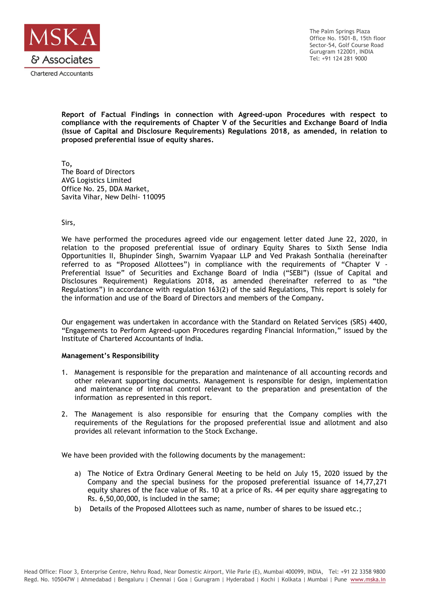

The Palm Springs Plaza Office No. 1501-B, 15th floor Sector-54, Golf Course Road Gurugram 122001, INDIA Tel: +91 124 281 9000

**Report of Factual Findings in connection with Agreed-upon Procedures with respect to compliance with the requirements of Chapter V of the Securities and Exchange Board of India (Issue of Capital and Disclosure Requirements) Regulations 2018, as amended, in relation to proposed preferential issue of equity shares.**

To**,** The Board of Directors AVG Logistics Limited Office No. 25, DDA Market, Savita Vihar, New Delhi- 110095

Sirs,

We have performed the procedures agreed vide our engagement letter dated June 22, 2020, in relation to the proposed preferential issue of ordinary Equity Shares to Sixth Sense India Opportunities II, Bhupinder Singh, Swarnim Vyapaar LLP and Ved Prakash Sonthalia (hereinafter referred to as "Proposed Allottees") in compliance with the requirements of "Chapter V - Preferential Issue" of Securities and Exchange Board of India ("SEBI") (Issue of Capital and Disclosures Requirement) Regulations 2018, as amended (hereinafter referred to as "the Regulations") in accordance with regulation 163(2) of the said Regulations, This report is solely for the information and use of the Board of Directors and members of the Company**.**

Our engagement was undertaken in accordance with the Standard on Related Services (SRS) 4400, "Engagements to Perform Agreed-upon Procedures regarding Financial Information," issued by the Institute of Chartered Accountants of India.

## **Management's Responsibility**

- 1. Management is responsible for the preparation and maintenance of all accounting records and other relevant supporting documents. Management is responsible for design, implementation and maintenance of internal control relevant to the preparation and presentation of the information as represented in this report.
- 2. The Management is also responsible for ensuring that the Company complies with the requirements of the Regulations for the proposed preferential issue and allotment and also provides all relevant information to the Stock Exchange.

We have been provided with the following documents by the management:

- a) The Notice of Extra Ordinary General Meeting to be held on July 15, 2020 issued by the Company and the special business for the proposed preferential issuance of 14,77,271 equity shares of the face value of Rs. 10 at a price of Rs. 44 per equity share aggregating to Rs. 6,50,00,000, is included in the same;
- b) Details of the Proposed Allottees such as name, number of shares to be issued etc.;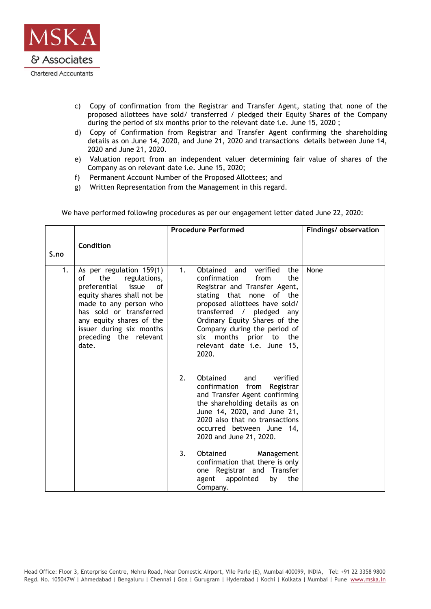

- c) Copy of confirmation from the Registrar and Transfer Agent, stating that none of the proposed allottees have sold/ transferred / pledged their Equity Shares of the Company during the period of six months prior to the relevant date i.e. June 15, 2020;
- d) Copy of Confirmation from Registrar and Transfer Agent confirming the shareholding details as on June 14, 2020, and June 21, 2020 and transactions details between June 14, 2020 and June 21, 2020.
- e) Valuation report from an independent valuer determining fair value of shares of the Company as on relevant date i.e. June 15, 2020;
- f) Permanent Account Number of the Proposed Allottees; and
- g) Written Representation from the Management in this regard.

|  | We have performed following procedures as per our engagement letter dated June 22, 2020: |  |  |  |  |
|--|------------------------------------------------------------------------------------------|--|--|--|--|
|  |                                                                                          |  |  |  |  |

|      |                                                                                                                                                                                                                                                                    | <b>Procedure Performed</b>                                                                                                                                                                                                                                                                                                                            | Findings/observation |
|------|--------------------------------------------------------------------------------------------------------------------------------------------------------------------------------------------------------------------------------------------------------------------|-------------------------------------------------------------------------------------------------------------------------------------------------------------------------------------------------------------------------------------------------------------------------------------------------------------------------------------------------------|----------------------|
| S.no | Condition                                                                                                                                                                                                                                                          |                                                                                                                                                                                                                                                                                                                                                       |                      |
| 1.   | As per regulation 159(1)<br>the<br>regulations,<br>οf<br>preferential<br>issue<br>οf<br>equity shares shall not be<br>made to any person who<br>has sold or transferred<br>any equity shares of the<br>issuer during six months<br>preceding the relevant<br>date. | Obtained and<br>verified<br>1 <sub>1</sub><br>the<br>confirmation<br>from<br>the<br>Registrar and Transfer Agent,<br>stating that none of the<br>proposed allottees have sold/<br>transferred /<br>pledged any<br>Ordinary Equity Shares of the<br>Company during the period of<br>six months prior to<br>the<br>relevant date i.e. June 15,<br>2020. | None                 |
|      |                                                                                                                                                                                                                                                                    | 2.<br>Obtained<br>verified<br>and<br>from<br>confirmation<br>Registrar<br>and Transfer Agent confirming<br>the shareholding details as on<br>June 14, 2020, and June 21,<br>2020 also that no transactions<br>occurred between June 14.<br>2020 and June 21, 2020.                                                                                    |                      |
|      |                                                                                                                                                                                                                                                                    | 3.<br>Obtained<br>Management<br>confirmation that there is only<br>one Registrar and Transfer<br>appointed<br>the<br>agent<br>by<br>Company.                                                                                                                                                                                                          |                      |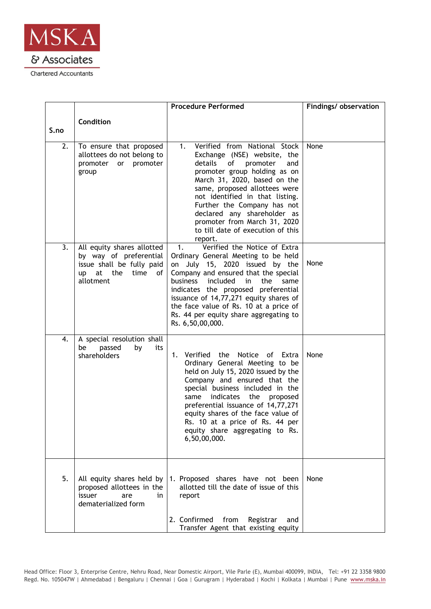

|      |                                                                                                                     | <b>Procedure Performed</b>                                                                                                                                                                                                                                                                                                                                                                                       | Findings/ observation |
|------|---------------------------------------------------------------------------------------------------------------------|------------------------------------------------------------------------------------------------------------------------------------------------------------------------------------------------------------------------------------------------------------------------------------------------------------------------------------------------------------------------------------------------------------------|-----------------------|
|      | Condition                                                                                                           |                                                                                                                                                                                                                                                                                                                                                                                                                  |                       |
| S.no |                                                                                                                     |                                                                                                                                                                                                                                                                                                                                                                                                                  |                       |
| 2.   | To ensure that proposed<br>allottees do not belong to<br>promoter or<br>promoter<br>group                           | Verified from National Stock<br>1.<br>Exchange (NSE) website, the<br>details<br>οf<br>promoter<br>and<br>promoter group holding as on<br>March 31, 2020, based on the<br>same, proposed allottees were<br>not identified in that listing.<br>Further the Company has not<br>declared any shareholder as<br>promoter from March 31, 2020<br>to till date of execution of this<br>report.                          | None                  |
| 3.   | All equity shares allotted<br>by way of preferential<br>issue shall be fully paid<br>up at the time of<br>allotment | Verified the Notice of Extra<br>$\mathbf{1}$ .<br>Ordinary General Meeting to be held<br>on July 15, 2020 issued by the<br>Company and ensured that the special<br>included<br>the<br>business<br>$\mathsf{in}$<br>same<br>indicates the proposed preferential<br>issuance of 14,77,271 equity shares of<br>the face value of Rs. 10 at a price of<br>Rs. 44 per equity share aggregating to<br>Rs. 6,50,00,000. | None                  |
| 4.   | A special resolution shall<br>be<br>passed<br>by<br>its<br>shareholders                                             | 1. Verified the Notice of Extra<br>Ordinary General Meeting to be<br>held on July 15, 2020 issued by the<br>Company and ensured that the<br>special business included in the<br>indicates<br>same<br>the<br>proposed<br>preferential issuance of 14,77,271<br>equity shares of the face value of<br>Rs. 10 at a price of Rs. 44 per<br>equity share aggregating to Rs.<br>6,50,00,000.                           | None                  |
| 5.   | All equity shares held by<br>proposed allottees in the<br>issuer<br>are<br>in<br>dematerialized form                | 1. Proposed shares have not been<br>allotted till the date of issue of this<br>report<br>2. Confirmed from<br>Registrar<br>and<br>Transfer Agent that existing equity                                                                                                                                                                                                                                            | None                  |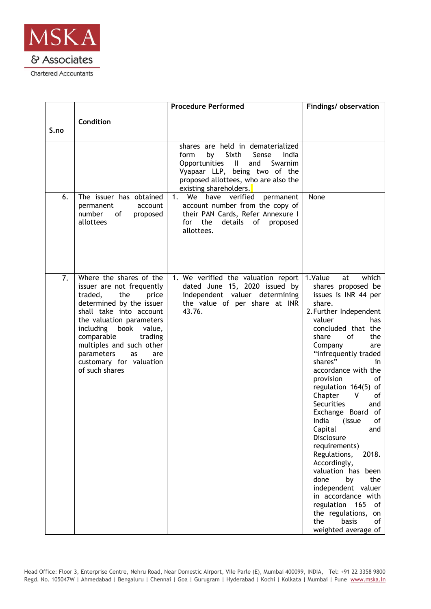

|      |                                                                                                                                                                                                                                                                                                                          | <b>Procedure Performed</b>                                                                                                                                                                                                        | Findings/ observation                                                                                                                                                                                                                                                                                                                                                                                                                                                                                                                                                                                                                                                                     |
|------|--------------------------------------------------------------------------------------------------------------------------------------------------------------------------------------------------------------------------------------------------------------------------------------------------------------------------|-----------------------------------------------------------------------------------------------------------------------------------------------------------------------------------------------------------------------------------|-------------------------------------------------------------------------------------------------------------------------------------------------------------------------------------------------------------------------------------------------------------------------------------------------------------------------------------------------------------------------------------------------------------------------------------------------------------------------------------------------------------------------------------------------------------------------------------------------------------------------------------------------------------------------------------------|
| S.no | Condition                                                                                                                                                                                                                                                                                                                |                                                                                                                                                                                                                                   |                                                                                                                                                                                                                                                                                                                                                                                                                                                                                                                                                                                                                                                                                           |
|      |                                                                                                                                                                                                                                                                                                                          | shares are held in dematerialized<br>Sixth<br>Sense<br>form<br>by<br>India<br>Opportunities<br>$\mathbf{II}$<br>and<br>Swarnim<br>Vyapaar LLP, being two of the<br>proposed allottees, who are also the<br>existing shareholders. |                                                                                                                                                                                                                                                                                                                                                                                                                                                                                                                                                                                                                                                                                           |
| 6.   | The issuer has obtained<br>permanent<br>account<br>number<br>of<br>proposed<br>allottees                                                                                                                                                                                                                                 | 1.<br>have<br>verified<br>permanent<br>We<br>account number from the copy of<br>their PAN Cards, Refer Annexure I<br>the<br>details<br>for<br>of<br>proposed<br>allottees.                                                        | None                                                                                                                                                                                                                                                                                                                                                                                                                                                                                                                                                                                                                                                                                      |
| 7.   | Where the shares of the<br>issuer are not frequently<br>the<br>traded,<br>price<br>determined by the issuer<br>shall take into account<br>the valuation parameters<br>including book value,<br>comparable<br>trading<br>multiples and such other<br>parameters<br>as<br>are<br>customary for valuation<br>of such shares | 1. We verified the valuation report<br>dated June 15, 2020 issued by<br>independent valuer determining<br>the value of per share at INR<br>43.76.                                                                                 | 1.Value<br>which<br>at<br>shares proposed be<br>issues is INR 44 per<br>share.<br>2. Further Independent<br>valuer<br>has<br>concluded that the<br>share<br>of<br>the<br>Company<br>are<br>"infrequently traded<br>shares"<br>in.<br>accordance with the<br>provision<br>οf<br>regulation 164(5) of<br>Chapter<br>V<br>0f<br><b>Securities</b><br>and<br>Exchange Board<br>of<br>India<br>of<br>(Issue<br>Capital<br>and<br>Disclosure<br>requirements)<br>2018.<br>Regulations,<br>Accordingly,<br>valuation has been<br>done<br>by<br>the<br>independent valuer<br>in accordance with<br>regulation<br>165<br>οf<br>the regulations,<br>on<br>the<br>basis<br>of<br>weighted average of |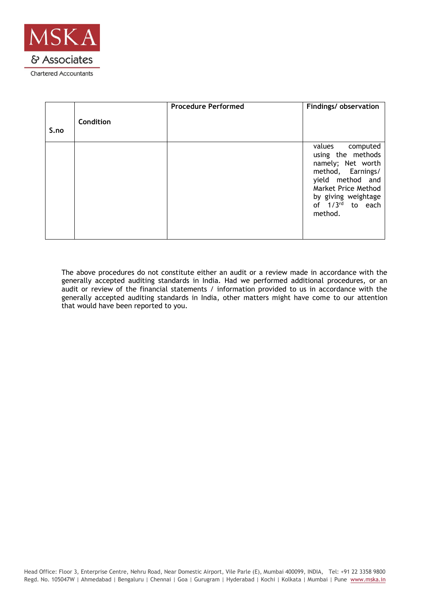

| S.no | Condition | <b>Procedure Performed</b> | Findings/ observation                                                                                                                                                                |
|------|-----------|----------------------------|--------------------------------------------------------------------------------------------------------------------------------------------------------------------------------------|
|      |           |                            | values computed<br>using the methods<br>namely; Net worth<br>method, Earnings/<br>yield method and<br>Market Price Method<br>by giving weightage<br>of $1/3^{rd}$ to each<br>method. |

The above procedures do not constitute either an audit or a review made in accordance with the generally accepted auditing standards in India. Had we performed additional procedures, or an audit or review of the financial statements / information provided to us in accordance with the generally accepted auditing standards in India, other matters might have come to our attention that would have been reported to you.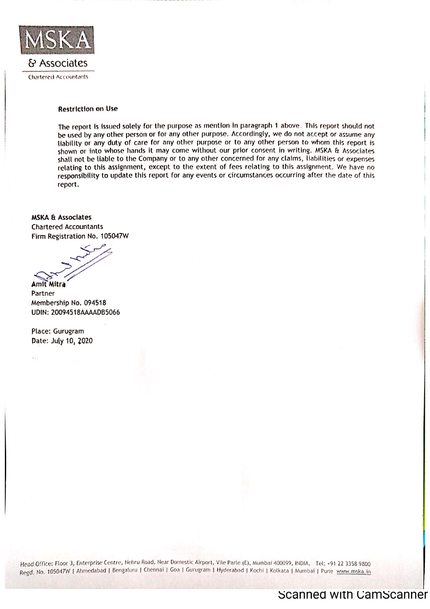

& Associates **Chartered Accountants** 

## **Restriction on Use**

The report is issued solely for the purpose as mention in paragraph 1 above. This report should not be used by any other person or for any other purpose. Accordingly, we do not accept or assume any liability or any duty of care for any other purpose or to any other person to whom this report is shown or into whose hands it may come without our prior consent in writing. MSKA & Associates shall not be liable to the Company or to any other concerned for any claims, liabilities or expenses relating to this assignment, except to the extent of fees relating to this assignment. We have no responsibility to update this report for any events or circumstances occurring after the date of this report.

**MSKA & Associates Chartered Accountants** Firm Registration No. 105047W

Amit Mitra

Partner Membership No. 094518 UDIN: 20094518AAAADB5066

Place: Gurugram Date: July 10, 2020

 $\epsilon$  .

Head Office: Floor 3, Enterprise Centre, Nehru Road, Near Domestic Airport, Vile Parle (E), Mumbai 400099, INDIA, Tel: +91 22 3358 9800 Regd. No. 105047W | Ahmedabad | Bengaluru | Chennai | Goa | Gurugram | Hyderabad | Kochi | Kolkata | Mumbai | Pune www.mska.in